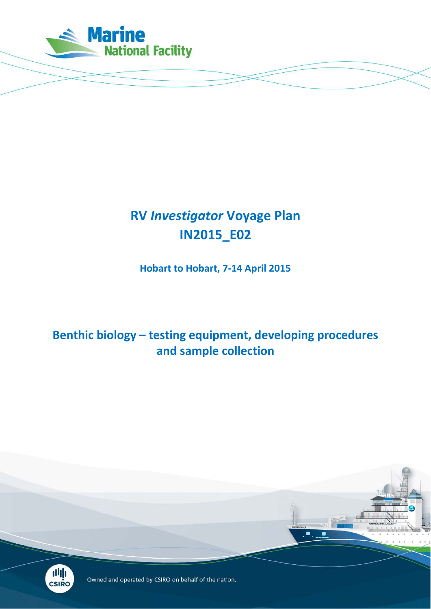

# **RV** *Investigator* **Voyage Plan IN2015\_E02**

**Hobart to Hobart, 7-14 April 2015**

**Benthic biology – testing equipment, developing procedures and sample collection**



Owned and operated by CSIRO on behalf of the nation.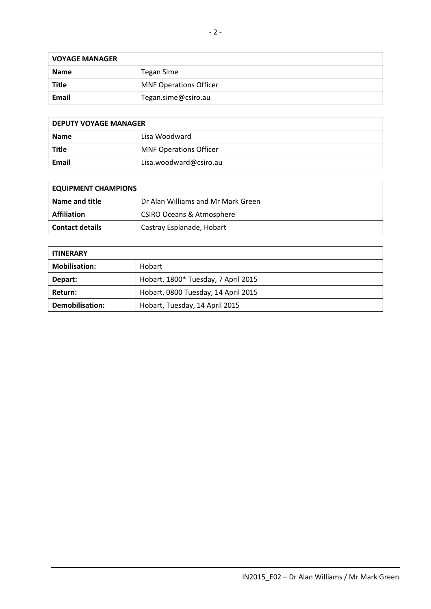| <b>VOYAGE MANAGER</b> |                               |  |  |  |  |
|-----------------------|-------------------------------|--|--|--|--|
| <b>Name</b>           | Tegan Sime                    |  |  |  |  |
| <b>Title</b>          | <b>MNF Operations Officer</b> |  |  |  |  |
| Email                 | Tegan.sime@csiro.au           |  |  |  |  |

| <b>DEPUTY VOYAGE MANAGER</b> |                               |  |  |  |
|------------------------------|-------------------------------|--|--|--|
| <b>Name</b>                  | Lisa Woodward                 |  |  |  |
| <b>Title</b>                 | <b>MNF Operations Officer</b> |  |  |  |
| Email                        | Lisa.woodward@csiro.au        |  |  |  |

| <b>EQUIPMENT CHAMPIONS</b> |                                      |  |  |  |
|----------------------------|--------------------------------------|--|--|--|
| Name and title             | Dr Alan Williams and Mr Mark Green   |  |  |  |
| <b>Affiliation</b>         | <b>CSIRO Oceans &amp; Atmosphere</b> |  |  |  |
| <b>Contact details</b>     | Castray Esplanade, Hobart            |  |  |  |

| <b>ITINERARY</b>     |                                     |
|----------------------|-------------------------------------|
| <b>Mobilisation:</b> | Hobart                              |
| Depart:              | Hobart, 1800* Tuesday, 7 April 2015 |
| Return:              | Hobart, 0800 Tuesday, 14 April 2015 |
| Demobilisation:      | Hobart, Tuesday, 14 April 2015      |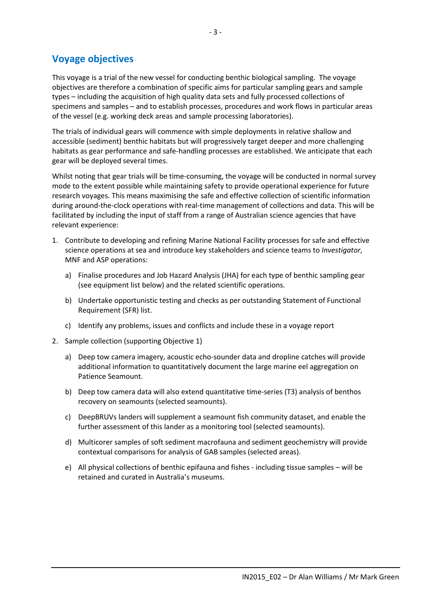#### **Voyage objectives**

This voyage is a trial of the new vessel for conducting benthic biological sampling. The voyage objectives are therefore a combination of specific aims for particular sampling gears and sample types – including the acquisition of high quality data sets and fully processed collections of specimens and samples – and to establish processes, procedures and work flows in particular areas of the vessel (e.g. working deck areas and sample processing laboratories).

The trials of individual gears will commence with simple deployments in relative shallow and accessible (sediment) benthic habitats but will progressively target deeper and more challenging habitats as gear performance and safe-handling processes are established. We anticipate that each gear will be deployed several times.

Whilst noting that gear trials will be time-consuming, the voyage will be conducted in normal survey mode to the extent possible while maintaining safety to provide operational experience for future research voyages. This means maximising the safe and effective collection of scientific information during around-the-clock operations with real-time management of collections and data. This will be facilitated by including the input of staff from a range of Australian science agencies that have relevant experience:

- 1. Contribute to developing and refining Marine National Facility processes for safe and effective science operations at sea and introduce key stakeholders and science teams to *Investigator*, MNF and ASP operations:
	- a) Finalise procedures and Job Hazard Analysis (JHA) for each type of benthic sampling gear (see equipment list below) and the related scientific operations.
	- b) Undertake opportunistic testing and checks as per outstanding Statement of Functional Requirement (SFR) list.
	- c) Identify any problems, issues and conflicts and include these in a voyage report
- 2. Sample collection (supporting Objective 1)
	- a) Deep tow camera imagery, acoustic echo-sounder data and dropline catches will provide additional information to quantitatively document the large marine eel aggregation on Patience Seamount.
	- b) Deep tow camera data will also extend quantitative time-series (T3) analysis of benthos recovery on seamounts (selected seamounts).
	- c) DeepBRUVs landers will supplement a seamount fish community dataset, and enable the further assessment of this lander as a monitoring tool (selected seamounts).
	- d) Multicorer samples of soft sediment macrofauna and sediment geochemistry will provide contextual comparisons for analysis of GAB samples (selected areas).
	- e) All physical collections of benthic epifauna and fishes including tissue samples will be retained and curated in Australia's museums.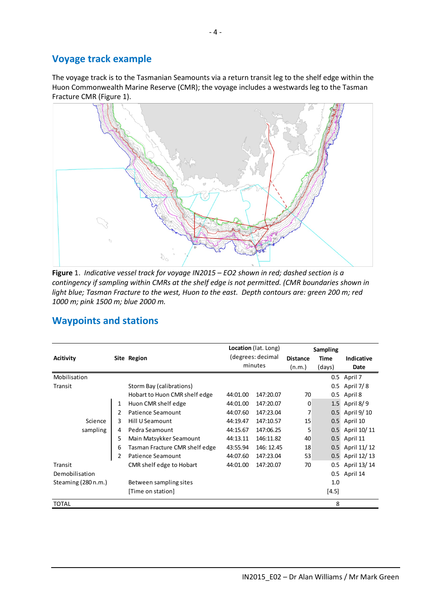#### **Voyage track example**

The voyage track is to the Tasmanian Seamounts via a return transit leg to the shelf edge within the Huon Commonwealth Marine Reserve (CMR); the voyage includes a westwards leg to the Tasman Fracture CMR (Figure 1).



**Figure** 1. *Indicative vessel track for voyage IN2015 – EO2 shown in red; dashed section is a contingency if sampling within CMRs at the shelf edge is not permitted. (CMR boundaries shown in light blue; Tasman Fracture to the west, Huon to the east. Depth contours are: green 200 m; red 1000 m; pink 1500 m; blue 2000 m.*

|                     |   |                                  |          | Location (lat. Long) | <b>Sampling</b> |            |             |  |
|---------------------|---|----------------------------------|----------|----------------------|-----------------|------------|-------------|--|
| <b>Acitivity</b>    |   | (degrees: decimal<br>Site Region |          | <b>Distance</b>      | <b>Time</b>     | Indicative |             |  |
|                     |   |                                  | minutes  |                      | (n.m.)          | (days)     | Date        |  |
| Mobilisation        |   |                                  |          |                      |                 | $0.5\,$    | April 7     |  |
| Transit             |   | Storm Bay (calibrations)         |          |                      |                 | 0.5        | April 7/8   |  |
|                     |   | Hobart to Huon CMR shelf edge    | 44:01.00 | 147:20.07            | 70              | 0.5        | April 8     |  |
|                     | 1 | Huon CMR shelf edge              | 44:01.00 | 147:20.07            | 0               | 1.5        | April 8/9   |  |
|                     | 2 | Patience Seamount                | 44:07.60 | 147:23.04            | 7               | 0.5        | April 9/10  |  |
| 3<br>Science        |   | Hill U Seamount                  | 44:19.47 | 147:10.57            | 15              | 0.5        | April 10    |  |
| sampling<br>4       |   | Pedra Seamount                   | 44:15.67 | 147:06.25            | 5               | 0.5        | April 10/11 |  |
| 5                   |   | Main Matsykker Seamount          | 44:13.11 | 146:11.82            | 40              | 0.5        | April 11    |  |
| 6                   |   | Tasman Fracture CMR shelf edge   | 43:55.94 | 146: 12.45           | 18              | 0.5        | April 11/12 |  |
| 2                   |   | Patience Seamount                | 44:07.60 | 147:23.04            | 53              | 0.5        | April 12/13 |  |
| Transit             |   | CMR shelf edge to Hobart         | 44:01.00 | 147:20.07            | 70              | 0.5        | April 13/14 |  |
| Demobilisation      |   |                                  |          |                      |                 | 0.5        | April 14    |  |
| Steaming (280 n.m.) |   | Between sampling sites           |          |                      |                 | 1.0        |             |  |
|                     |   | [Time on station]                |          |                      |                 | $[4.5]$    |             |  |
| <b>TOTAL</b>        |   |                                  |          |                      |                 | 8          |             |  |

### **Waypoints and stations**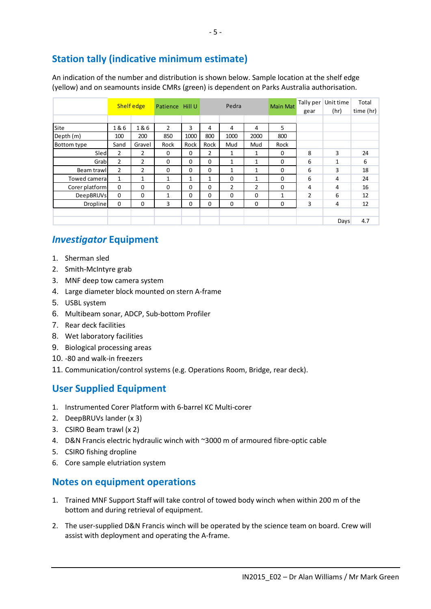# **Station tally (indicative minimum estimate)**

An indication of the number and distribution is shown below. Sample location at the shelf edge (yellow) and on seamounts inside CMRs (green) is dependent on Parks Australia authorisation.

|                    |                | <b>Shelf edge</b> | Patience Hill U |              |                | Pedra          |      | <b>Main Mat</b> | Tally per<br>gear | Unit time<br>(hr) | Total<br>time (hr) |
|--------------------|----------------|-------------------|-----------------|--------------|----------------|----------------|------|-----------------|-------------------|-------------------|--------------------|
|                    |                |                   |                 |              |                |                |      |                 |                   |                   |                    |
| Site               | 1&6            | 1&6               | $\overline{2}$  | 3            | 4              | 4              | 4    | 5               |                   |                   |                    |
| Depth (m)          | 100            | 200               | 850             | 1000         | 800            | 1000           | 2000 | 800             |                   |                   |                    |
| <b>Bottom type</b> | Sand           | Gravel            | Rock            | Rock         | Rock           | Mud            | Mud  | Rock            |                   |                   |                    |
| Sled               | $\overline{2}$ | $\overline{2}$    | 0               | 0            | $\overline{2}$ | $\mathbf{1}$   | 1    | $\Omega$        | 8                 | 3                 | 24                 |
| Grab               | $\overline{2}$ | 2                 | 0               | $\Omega$     | $\Omega$       | 1              | 1    | 0               | 6                 | 1                 | 6                  |
| Beam trawll        | $\overline{2}$ | 2                 | 0               | $\Omega$     | $\Omega$       | $\mathbf{1}$   | 1    | 0               | 6                 | 3                 | 18                 |
| Towed camera       | 1              | $\mathbf{1}$      | 1               | $\mathbf{1}$ | 1              | $\Omega$       | 1    | 0               | 6                 | 4                 | 24                 |
| Corer platform     | $\mathbf 0$    | $\Omega$          | $\Omega$        | 0            | $\Omega$       | $\overline{2}$ | 2    | $\Omega$        | 4                 | 4                 | 16                 |
| <b>DeepBRUVs</b>   | $\mathbf 0$    | 0                 | 1               | $\Omega$     | $\Omega$       | $\Omega$       | 0    | 1               | $\overline{2}$    | 6                 | 12                 |
| <b>Dropline</b>    | 0              | 0                 | 3               | 0            | $\Omega$       | $\Omega$       | 0    | 0               | 3                 | 4                 | 12                 |
|                    |                |                   |                 |              |                |                |      |                 |                   |                   |                    |
|                    |                |                   |                 |              |                |                |      |                 |                   | Days              | 4.7                |

#### *Investigator* **Equipment**

- 1. Sherman sled
- 2. Smith-McIntyre grab
- 3. MNF deep tow camera system
- 4. Large diameter block mounted on stern A-frame
- 5. USBL system
- 6. Multibeam sonar, ADCP, Sub-bottom Profiler
- 7. Rear deck facilities
- 8. Wet laboratory facilities
- 9. Biological processing areas
- 10. -80 and walk-in freezers
- 11. Communication/control systems (e.g. Operations Room, Bridge, rear deck).

### **User Supplied Equipment**

- 1. Instrumented Corer Platform with 6-barrel KC Multi-corer
- 2. DeepBRUVs lander (x 3)
- 3. CSIRO Beam trawl (x 2)
- 4. D&N Francis electric hydraulic winch with ~3000 m of armoured fibre-optic cable
- 5. CSIRO fishing dropline
- 6. Core sample elutriation system

#### **Notes on equipment operations**

- 1. Trained MNF Support Staff will take control of towed body winch when within 200 m of the bottom and during retrieval of equipment.
- 2. The user-supplied D&N Francis winch will be operated by the science team on board. Crew will assist with deployment and operating the A-frame.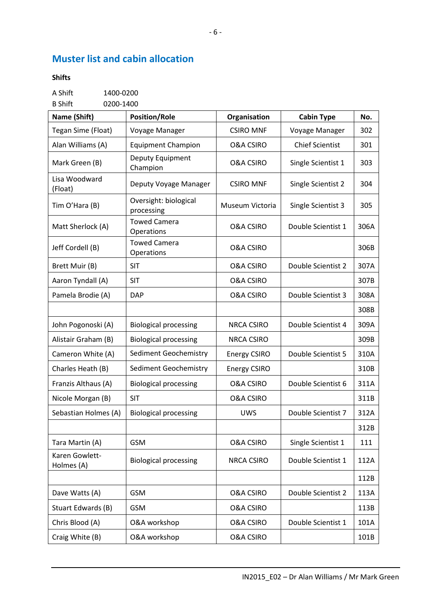# **Muster list and cabin allocation**

#### **Shifts**

A Shift 1400-0200

B Shift 0200-1400

| Name (Shift)                 | <b>Position/Role</b>                | Organisation         | <b>Cabin Type</b>      | No.  |
|------------------------------|-------------------------------------|----------------------|------------------------|------|
| Tegan Sime (Float)           | Voyage Manager                      | <b>CSIRO MNF</b>     | Voyage Manager         | 302  |
| Alan Williams (A)            | <b>Equipment Champion</b>           | <b>O&amp;A CSIRO</b> | <b>Chief Scientist</b> | 301  |
| Mark Green (B)               | Deputy Equipment<br>Champion        | <b>O&amp;A CSIRO</b> | Single Scientist 1     | 303  |
| Lisa Woodward<br>(Float)     | Deputy Voyage Manager               | <b>CSIRO MNF</b>     | Single Scientist 2     | 304  |
| Tim O'Hara (B)               | Oversight: biological<br>processing | Museum Victoria      | Single Scientist 3     | 305  |
| Matt Sherlock (A)            | <b>Towed Camera</b><br>Operations   | <b>O&amp;A CSIRO</b> | Double Scientist 1     | 306A |
| Jeff Cordell (B)             | <b>Towed Camera</b><br>Operations   | <b>O&amp;A CSIRO</b> |                        | 306B |
| Brett Muir (B)               | <b>SIT</b>                          | <b>O&amp;A CSIRO</b> | Double Scientist 2     | 307A |
| Aaron Tyndall (A)            | <b>SIT</b>                          | <b>O&amp;A CSIRO</b> |                        | 307B |
| Pamela Brodie (A)            | <b>DAP</b>                          | <b>O&amp;A CSIRO</b> | Double Scientist 3     | 308A |
|                              |                                     |                      |                        | 308B |
| John Pogonoski (A)           | <b>Biological processing</b>        | <b>NRCA CSIRO</b>    | Double Scientist 4     | 309A |
| Alistair Graham (B)          | <b>Biological processing</b>        | <b>NRCA CSIRO</b>    |                        | 309B |
| Cameron White (A)            | <b>Sediment Geochemistry</b>        | <b>Energy CSIRO</b>  | Double Scientist 5     | 310A |
| Charles Heath (B)            | <b>Sediment Geochemistry</b>        | <b>Energy CSIRO</b>  |                        | 310B |
| Franzis Althaus (A)          | <b>Biological processing</b>        | <b>O&amp;A CSIRO</b> | Double Scientist 6     | 311A |
| Nicole Morgan (B)            | <b>SIT</b>                          | <b>O&amp;A CSIRO</b> |                        | 311B |
| Sebastian Holmes (A)         | <b>Biological processing</b>        | <b>UWS</b>           | Double Scientist 7     | 312A |
|                              |                                     |                      |                        | 312B |
| Tara Martin (A)              | <b>GSM</b>                          | <b>O&amp;A CSIRO</b> | Single Scientist 1     | 111  |
| Karen Gowlett-<br>Holmes (A) | <b>Biological processing</b>        | <b>NRCA CSIRO</b>    | Double Scientist 1     | 112A |
|                              |                                     |                      |                        | 112B |
| Dave Watts (A)               | <b>GSM</b>                          | <b>O&amp;A CSIRO</b> | Double Scientist 2     | 113A |
| Stuart Edwards (B)           | <b>GSM</b>                          | <b>O&amp;A CSIRO</b> |                        | 113B |
| Chris Blood (A)              | O&A workshop                        | <b>O&amp;A CSIRO</b> | Double Scientist 1     | 101A |
| Craig White (B)              | O&A workshop                        | <b>O&amp;A CSIRO</b> |                        | 101B |